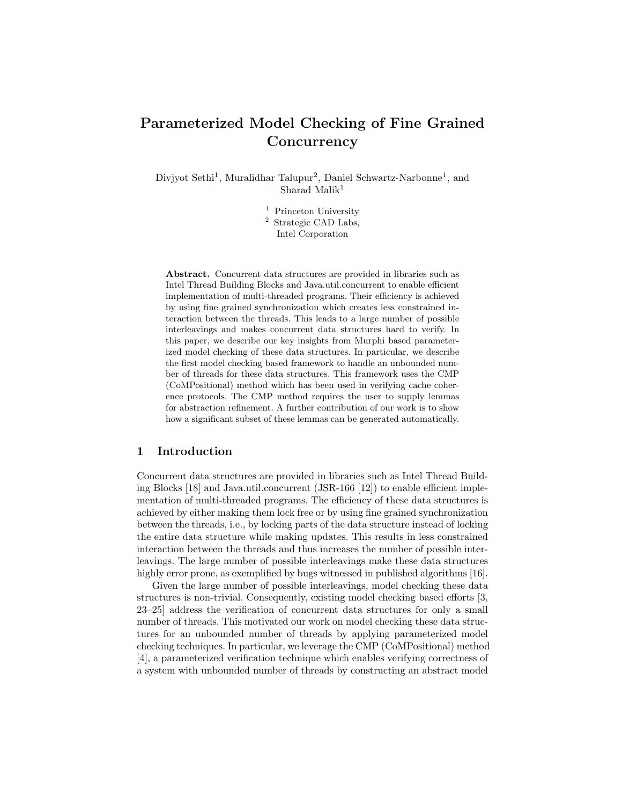# Parameterized Model Checking of Fine Grained **Concurrency**

Divjyot Sethi<sup>1</sup>, Muralidhar Talupur<sup>2</sup>, Daniel Schwartz-Narbonne<sup>1</sup>, and Sharad Malik<sup>1</sup>

> <sup>1</sup> Princeton University <sup>2</sup> Strategic CAD Labs, Intel Corporation

Abstract. Concurrent data structures are provided in libraries such as Intel Thread Building Blocks and Java.util.concurrent to enable efficient implementation of multi-threaded programs. Their efficiency is achieved by using fine grained synchronization which creates less constrained interaction between the threads. This leads to a large number of possible interleavings and makes concurrent data structures hard to verify. In this paper, we describe our key insights from Murphi based parameterized model checking of these data structures. In particular, we describe the first model checking based framework to handle an unbounded number of threads for these data structures. This framework uses the CMP (CoMPositional) method which has been used in verifying cache coherence protocols. The CMP method requires the user to supply lemmas for abstraction refinement. A further contribution of our work is to show how a significant subset of these lemmas can be generated automatically.

# 1 Introduction

Concurrent data structures are provided in libraries such as Intel Thread Building Blocks [18] and Java.util.concurrent (JSR-166 [12]) to enable efficient implementation of multi-threaded programs. The efficiency of these data structures is achieved by either making them lock free or by using fine grained synchronization between the threads, i.e., by locking parts of the data structure instead of locking the entire data structure while making updates. This results in less constrained interaction between the threads and thus increases the number of possible interleavings. The large number of possible interleavings make these data structures highly error prone, as exemplified by bugs witnessed in published algorithms [16].

Given the large number of possible interleavings, model checking these data structures is non-trivial. Consequently, existing model checking based efforts [3, 23–25] address the verification of concurrent data structures for only a small number of threads. This motivated our work on model checking these data structures for an unbounded number of threads by applying parameterized model checking techniques. In particular, we leverage the CMP (CoMPositional) method [4], a parameterized verification technique which enables verifying correctness of a system with unbounded number of threads by constructing an abstract model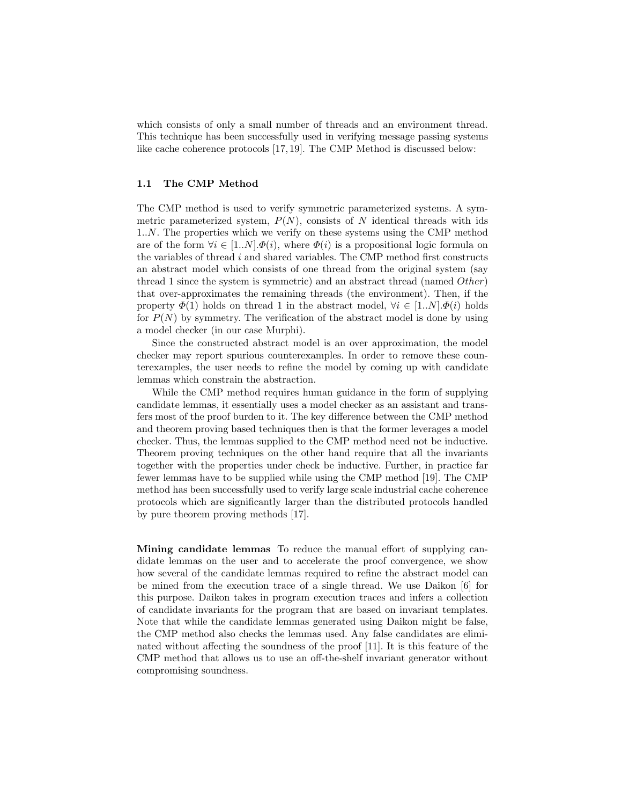which consists of only a small number of threads and an environment thread. This technique has been successfully used in verifying message passing systems like cache coherence protocols [17, 19]. The CMP Method is discussed below:

## 1.1 The CMP Method

The CMP method is used to verify symmetric parameterized systems. A symmetric parameterized system,  $P(N)$ , consists of N identical threads with ids 1..N. The properties which we verify on these systems using the CMP method are of the form  $\forall i \in [1..N]. \Phi(i)$ , where  $\Phi(i)$  is a propositional logic formula on the variables of thread  $i$  and shared variables. The CMP method first constructs an abstract model which consists of one thread from the original system (say thread 1 since the system is symmetric) and an abstract thread (named Other) that over-approximates the remaining threads (the environment). Then, if the property  $\Phi(1)$  holds on thread 1 in the abstract model,  $\forall i \in [1..N].\Phi(i)$  holds for  $P(N)$  by symmetry. The verification of the abstract model is done by using a model checker (in our case Murphi).

Since the constructed abstract model is an over approximation, the model checker may report spurious counterexamples. In order to remove these counterexamples, the user needs to refine the model by coming up with candidate lemmas which constrain the abstraction.

While the CMP method requires human guidance in the form of supplying candidate lemmas, it essentially uses a model checker as an assistant and transfers most of the proof burden to it. The key difference between the CMP method and theorem proving based techniques then is that the former leverages a model checker. Thus, the lemmas supplied to the CMP method need not be inductive. Theorem proving techniques on the other hand require that all the invariants together with the properties under check be inductive. Further, in practice far fewer lemmas have to be supplied while using the CMP method [19]. The CMP method has been successfully used to verify large scale industrial cache coherence protocols which are significantly larger than the distributed protocols handled by pure theorem proving methods [17].

Mining candidate lemmas To reduce the manual effort of supplying candidate lemmas on the user and to accelerate the proof convergence, we show how several of the candidate lemmas required to refine the abstract model can be mined from the execution trace of a single thread. We use Daikon [6] for this purpose. Daikon takes in program execution traces and infers a collection of candidate invariants for the program that are based on invariant templates. Note that while the candidate lemmas generated using Daikon might be false, the CMP method also checks the lemmas used. Any false candidates are eliminated without affecting the soundness of the proof [11]. It is this feature of the CMP method that allows us to use an off-the-shelf invariant generator without compromising soundness.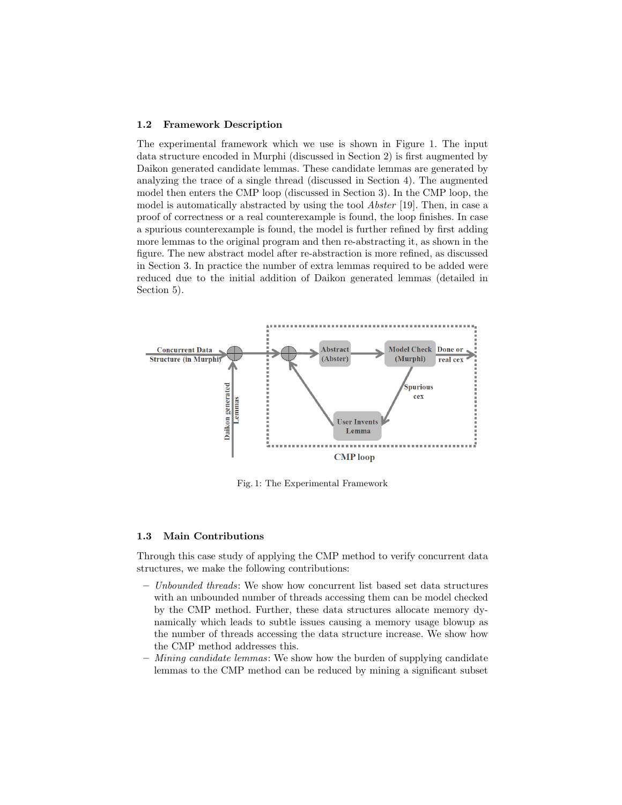#### 1.2 Framework Description

The experimental framework which we use is shown in Figure 1. The input data structure encoded in Murphi (discussed in Section 2) is first augmented by Daikon generated candidate lemmas. These candidate lemmas are generated by analyzing the trace of a single thread (discussed in Section 4). The augmented model then enters the CMP loop (discussed in Section 3). In the CMP loop, the model is automatically abstracted by using the tool Abster [19]. Then, in case a proof of correctness or a real counterexample is found, the loop finishes. In case a spurious counterexample is found, the model is further refined by first adding more lemmas to the original program and then re-abstracting it, as shown in the figure. The new abstract model after re-abstraction is more refined, as discussed in Section 3. In practice the number of extra lemmas required to be added were reduced due to the initial addition of Daikon generated lemmas (detailed in Section 5).



Fig. 1: The Experimental Framework

#### 1.3 Main Contributions

Through this case study of applying the CMP method to verify concurrent data structures, we make the following contributions:

- $-$  Unbounded threads: We show how concurrent list based set data structures with an unbounded number of threads accessing them can be model checked by the CMP method. Further, these data structures allocate memory dynamically which leads to subtle issues causing a memory usage blowup as the number of threads accessing the data structure increase. We show how the CMP method addresses this.
- Mining candidate lemmas: We show how the burden of supplying candidate lemmas to the CMP method can be reduced by mining a significant subset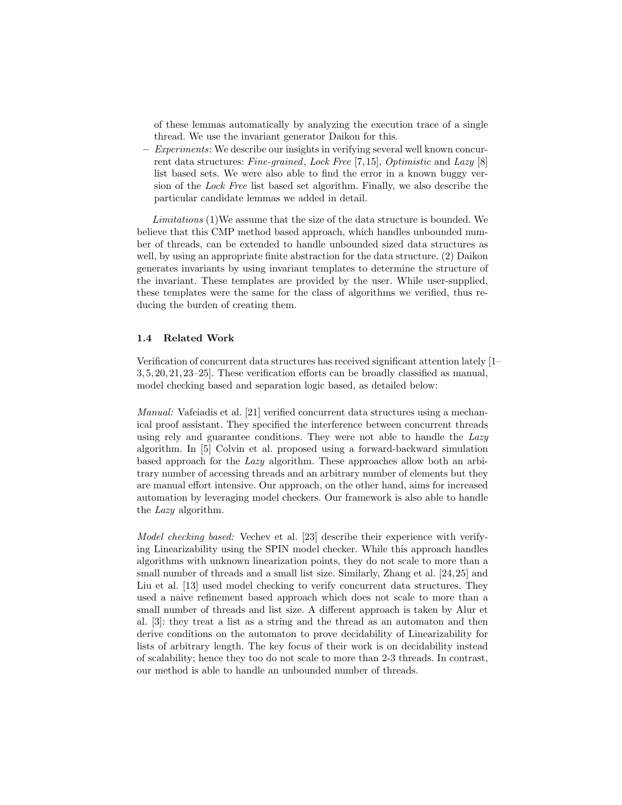of these lemmas automatically by analyzing the execution trace of a single thread. We use the invariant generator Daikon for this.

 $-$  Experiments: We describe our insights in verifying several well known concurrent data structures: Fine-grained, Lock Free [7,15], Optimistic and Lazy [8] list based sets. We were also able to find the error in a known buggy version of the Lock Free list based set algorithm. Finally, we also describe the particular candidate lemmas we added in detail.

Limitations (1)We assume that the size of the data structure is bounded. We believe that this CMP method based approach, which handles unbounded number of threads, can be extended to handle unbounded sized data structures as well, by using an appropriate finite abstraction for the data structure. (2) Daikon generates invariants by using invariant templates to determine the structure of the invariant. These templates are provided by the user. While user-supplied, these templates were the same for the class of algorithms we verified, thus reducing the burden of creating them.

## 1.4 Related Work

Verification of concurrent data structures has received significant attention lately [1– 3, 5, 20, 21, 23–25]. These verification efforts can be broadly classified as manual, model checking based and separation logic based, as detailed below:

Manual: Vafeiadis et al. [21] verified concurrent data structures using a mechanical proof assistant. They specified the interference between concurrent threads using rely and guarantee conditions. They were not able to handle the Lazy algorithm. In [5] Colvin et al. proposed using a forward-backward simulation based approach for the Lazy algorithm. These approaches allow both an arbitrary number of accessing threads and an arbitrary number of elements but they are manual effort intensive. Our approach, on the other hand, aims for increased automation by leveraging model checkers. Our framework is also able to handle the Lazy algorithm.

Model checking based: Vechev et al. [23] describe their experience with verifying Linearizability using the SPIN model checker. While this approach handles algorithms with unknown linearization points, they do not scale to more than a small number of threads and a small list size. Similarly, Zhang et al. [24, 25] and Liu et al. [13] used model checking to verify concurrent data structures. They used a naive refinement based approach which does not scale to more than a small number of threads and list size. A different approach is taken by Alur et al. [3]: they treat a list as a string and the thread as an automaton and then derive conditions on the automaton to prove decidability of Linearizability for lists of arbitrary length. The key focus of their work is on decidability instead of scalability; hence they too do not scale to more than 2-3 threads. In contrast, our method is able to handle an unbounded number of threads.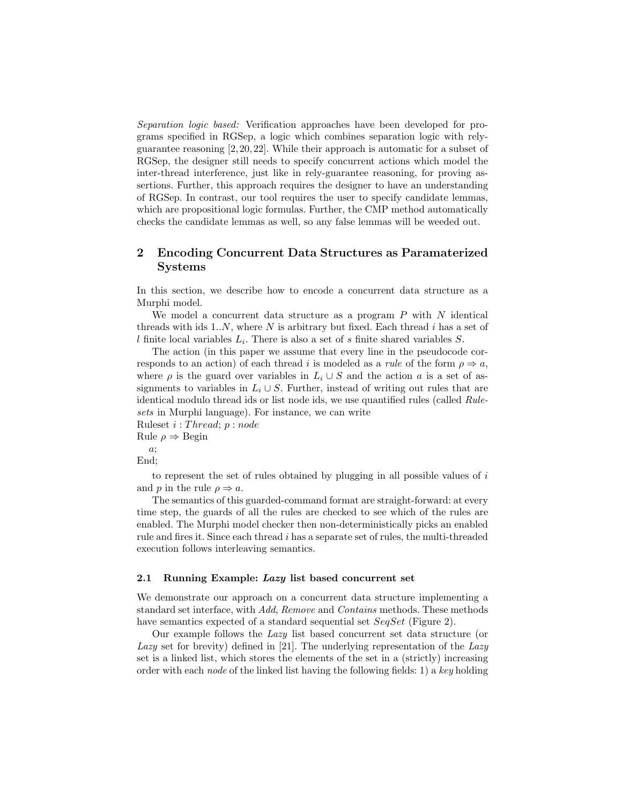Separation logic based: Verification approaches have been developed for programs specified in RGSep, a logic which combines separation logic with relyguarantee reasoning [2, 20, 22]. While their approach is automatic for a subset of RGSep, the designer still needs to specify concurrent actions which model the inter-thread interference, just like in rely-guarantee reasoning, for proving assertions. Further, this approach requires the designer to have an understanding of RGSep. In contrast, our tool requires the user to specify candidate lemmas, which are propositional logic formulas. Further, the CMP method automatically checks the candidate lemmas as well, so any false lemmas will be weeded out.

# 2 Encoding Concurrent Data Structures as Paramaterized Systems

In this section, we describe how to encode a concurrent data structure as a Murphi model.

We model a concurrent data structure as a program  $P$  with  $N$  identical threads with ids  $1..N$ , where N is arbitrary but fixed. Each thread i has a set of l finite local variables  $L_i$ . There is also a set of s finite shared variables S.

The action (in this paper we assume that every line in the pseudocode corresponds to an action) of each thread i is modeled as a *rule* of the form  $\rho \Rightarrow a$ , where  $\rho$  is the guard over variables in  $L_i \cup S$  and the action a is a set of assignments to variables in  $L_i \cup S$ . Further, instead of writing out rules that are identical modulo thread ids or list node ids, we use quantified rules (called Rulesets in Murphi language). For instance, we can write

Ruleset  $i: Thread; p: node$ 

Rule  $\rho \Rightarrow$  Begin

a; End;

to represent the set of rules obtained by plugging in all possible values of i and p in the rule  $\rho \Rightarrow a$ .

The semantics of this guarded-command format are straight-forward: at every time step, the guards of all the rules are checked to see which of the rules are enabled. The Murphi model checker then non-deterministically picks an enabled rule and fires it. Since each thread  $i$  has a separate set of rules, the multi-threaded execution follows interleaving semantics.

#### 2.1 Running Example: Lazy list based concurrent set

We demonstrate our approach on a concurrent data structure implementing a standard set interface, with Add, Remove and Contains methods. These methods have semantics expected of a standard sequential set  $SegSet$  (Figure 2).

Our example follows the Lazy list based concurrent set data structure (or Lazy set for brevity) defined in [21]. The underlying representation of the Lazy set is a linked list, which stores the elements of the set in a (strictly) increasing order with each node of the linked list having the following fields: 1) a key holding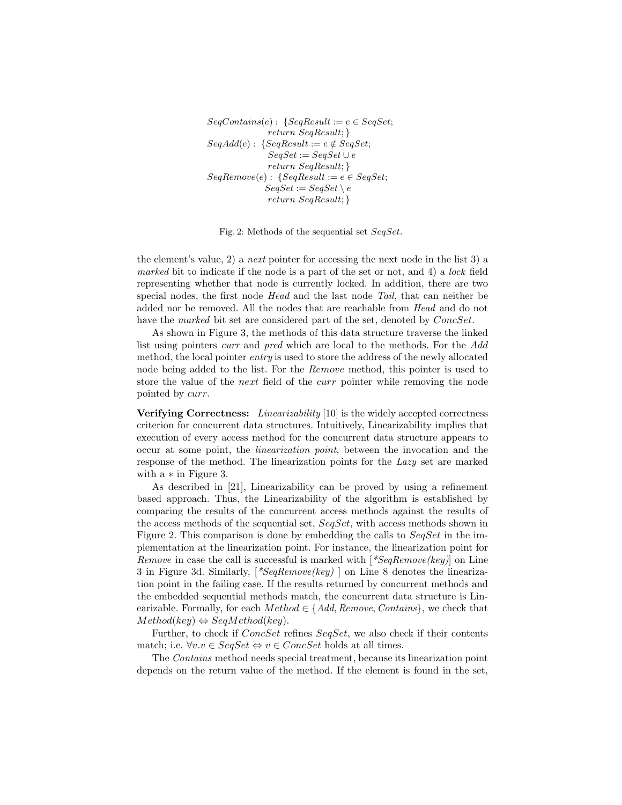```
Seqcontains(e): \{SeqResult := e \in SegSet;return SeqResult; }
SeqAdd(e): \{SeqResult := e \notin SegSet;SeqSet := SeqSet \cup ereturn SeqResult; }
SeqRemove(e): \{SeqResult := e \in SegSet;SegSet := SegSet \setminus ereturn SeqResult; }
```
Fig. 2: Methods of the sequential set SeqSet.

the element's value, 2) a next pointer for accessing the next node in the list 3) a marked bit to indicate if the node is a part of the set or not, and 4) a lock field representing whether that node is currently locked. In addition, there are two special nodes, the first node Head and the last node Tail, that can neither be added nor be removed. All the nodes that are reachable from Head and do not have the marked bit set are considered part of the set, denoted by ConcSet.

As shown in Figure 3, the methods of this data structure traverse the linked list using pointers *curr* and *pred* which are local to the methods. For the Add method, the local pointer entry is used to store the address of the newly allocated node being added to the list. For the Remove method, this pointer is used to store the value of the *next* field of the *curr* pointer while removing the node pointed by curr.

Verifying Correctness: Linearizability [10] is the widely accepted correctness criterion for concurrent data structures. Intuitively, Linearizability implies that execution of every access method for the concurrent data structure appears to occur at some point, the linearization point, between the invocation and the response of the method. The linearization points for the Lazy set are marked with  $a * in Figure 3$ .

As described in [21], Linearizability can be proved by using a refinement based approach. Thus, the Linearizability of the algorithm is established by comparing the results of the concurrent access methods against the results of the access methods of the sequential set, SeqSet, with access methods shown in Figure 2. This comparison is done by embedding the calls to  $SeqSet$  in the implementation at the linearization point. For instance, the linearization point for *Remove* in case the call is successful is marked with  $\lceil *SeqRemove(key) \rceil$  on Line 3 in Figure 3d. Similarly,  $\left[ \kappa \frac{\partial e}{\partial x} \right]$  on Line 8 denotes the linearization point in the failing case. If the results returned by concurrent methods and the embedded sequential methods match, the concurrent data structure is Linearizable. Formally, for each  $Method \in \{Add, Remove, Contains\}$ , we check that  $Method(key) \Leftrightarrow SeqMethod(key).$ 

Further, to check if *ConcSet* refines *SeqSet*, we also check if their contents match; i.e.  $\forall v. v \in SegSet \Leftrightarrow v \in ConCSet$  holds at all times.

The Contains method needs special treatment, because its linearization point depends on the return value of the method. If the element is found in the set,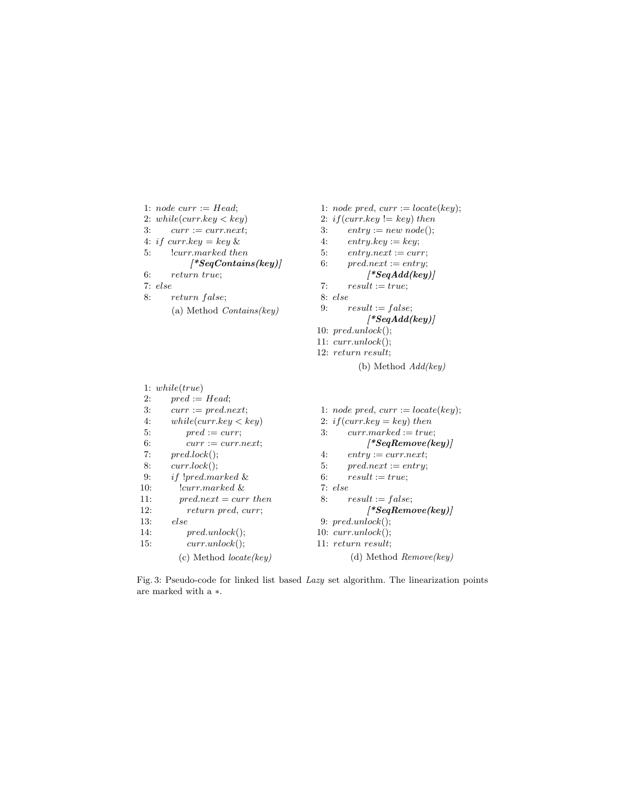```
1: node curr := Head;
2: while(curr(key < key)3: curr := curr.next;4: if curr.key = key \&5: !curr.marked then
          [ *SeqContents(key)]6: return true;
7: else
8: return false;
      (a) Method Contains(key)
                                      1: node pred, curr := locate(key);2: if(curr(key != key) then3: entry := new node();4: entry. key := key;5: entry.next := curr;6: pred.next := entry;[ *SeqAdd(key)]7: result := true;8: else
                                      9: result := false;[ *SeqAdd(key)]10: pred.unlock();11: curr.unlock();
                                     12: return result;
                                              (b) Method Add(key)
1: while(true)
2: pred := Head;3: curr := pred.next;4: while(curr.key \lt key)
5: pred := curr;6: curr := curr.next;7: pred.lock();8: \quad \text{curr.lock}();
9: if !pred.marked &
10: !curr.marked &
11: pred.next = curr then12: return pred, curr;
13: else
14: pred.unlock();15: curr.unlock();(c) Method locate(key)
                                      1: node pred, curr := locate(key);2: if(currkey = key) then
                                      3: current, marked := true;[*SeqRemove(key)]
                                      4: entry := curr.next;5: pred.next := entry;6: result := true;7: else
                                      8: result := false;(*SeqRemove(key)]9: pred.unlock();
                                     10: curr.unlock();11: return result;
                                            (d) Method Remove(key)
```
Fig. 3: Pseudo-code for linked list based Lazy set algorithm. The linearization points are marked with a ∗.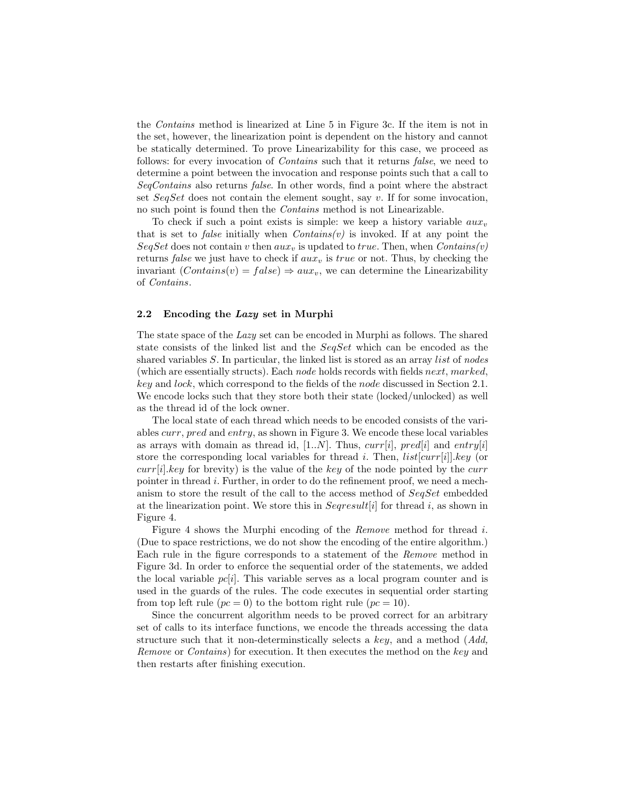the Contains method is linearized at Line 5 in Figure 3c. If the item is not in the set, however, the linearization point is dependent on the history and cannot be statically determined. To prove Linearizability for this case, we proceed as follows: for every invocation of *Contains* such that it returns *false*, we need to determine a point between the invocation and response points such that a call to SeqContains also returns false. In other words, find a point where the abstract set  $SeqSet$  does not contain the element sought, say v. If for some invocation, no such point is found then the Contains method is not Linearizable.

To check if such a point exists is simple: we keep a history variable  $aux_v$ that is set to *false* initially when  $contains(v)$  is invoked. If at any point the SeqSet does not contain v then  $aux_v$  is updated to true. Then, when  $contains(v)$ returns false we just have to check if  $aux<sub>v</sub>$  is true or not. Thus, by checking the invariant  $(contains(v) = false) \Rightarrow aux_v$ , we can determine the Linearizability of Contains.

## 2.2 Encoding the Lazy set in Murphi

The state space of the Lazy set can be encoded in Murphi as follows. The shared state consists of the linked list and the SeqSet which can be encoded as the shared variables S. In particular, the linked list is stored as an array *list* of nodes (which are essentially structs). Each node holds records with fields next, marked, key and lock, which correspond to the fields of the node discussed in Section 2.1. We encode locks such that they store both their state (locked/unlocked) as well as the thread id of the lock owner.

The local state of each thread which needs to be encoded consists of the variables curr, pred and entry, as shown in Figure 3. We encode these local variables as arrays with domain as thread id, [1..N]. Thus,  $curr[i]$ ,  $pred[i]$  and  $entry[i]$ store the corresponding local variables for thread i. Then,  $list[curr[i]].key$  (or  $curr[i].key$  for brevity) is the value of the key of the node pointed by the curr pointer in thread *i*. Further, in order to do the refinement proof, we need a mechanism to store the result of the call to the access method of SeqSet embedded at the linearization point. We store this in  $Segresult[i]$  for thread i, as shown in Figure 4.

Figure 4 shows the Murphi encoding of the Remove method for thread i. (Due to space restrictions, we do not show the encoding of the entire algorithm.) Each rule in the figure corresponds to a statement of the Remove method in Figure 3d. In order to enforce the sequential order of the statements, we added the local variable  $pc[i]$ . This variable serves as a local program counter and is used in the guards of the rules. The code executes in sequential order starting from top left rule  $(pc = 0)$  to the bottom right rule  $(pc = 10)$ .

Since the concurrent algorithm needs to be proved correct for an arbitrary set of calls to its interface functions, we encode the threads accessing the data structure such that it non-determinstically selects a key, and a method (Add, Remove or Contains) for execution. It then executes the method on the key and then restarts after finishing execution.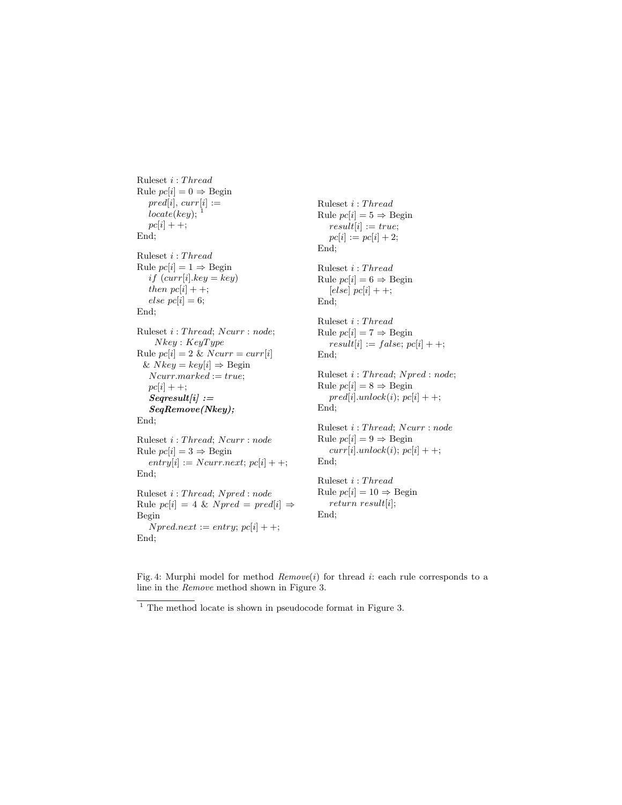```
Ruleset i : ThreadRule pc[i] = 0 \Rightarrow Begin
  pred[i], curr[i] :=locate(key);pc[i] + +;End;
Ruleset \boldsymbol{i}: ThreadRule pc[i] = 1 \Rightarrow Begin
  if (curr[i].key = key)then pc[i] + +;
  else pc[i] = 6;End;
Ruleset i : Thread; Ncurr : node;
    N key: KeyTypeRule pc[i] = 2 \& Ncurr = curr[i]& Nkey = key[i] \Rightarrow BeginNcurr.macked := true;pc[i] + +;Segresult[i] :=SeqRemove(Nkey);
End;
Ruleset i : Thread; Ncurr : node
Rule pc[i] = 3 \Rightarrow Begin
  entry[i] := Ncurr.next; pci] + +;End;
Ruleset i: Thread; Npred : nodeRule pc[i] = 4 \& Npred = pred[i] \RightarrowBegin
  N pred.next := entry; pc[i] ++;End;
```

```
Ruleset i : Thread
Rule pc[i] = 5 \Rightarrow Begin
  result[i] := true;pc[i] := pc[i] + 2;End;
Ruleset i : ThreadRule pc[i] = 6 \Rightarrow Begin
   [else] pc[i] + +;
End;
Ruleset i : ThreadRule pc[i] = 7 \Rightarrow Begin
  result[i] := false; pc[i] + +;End;
Ruleset i: Thread; Npred: node;Rule pc[i] = 8 \Rightarrow Begin
  pred[i].unlock(i); pc[i] ++;End;
Ruleset i : Thread; Ncurr : nodeRule pc[i] = 9 \Rightarrow Begin
   curr[i].unlock(i); pc[i] ++;End;
Ruleset \emph{i}: ThreadRule pc[i] = 10 \Rightarrow Begin
  return result[i];
```
Fig. 4: Murphi model for method  $Remove(i)$  for thread i: each rule corresponds to a line in the Remove method shown in Figure 3.

End;

 $^{\rm 1}$  The method locate is shown in pseudocode format in Figure 3.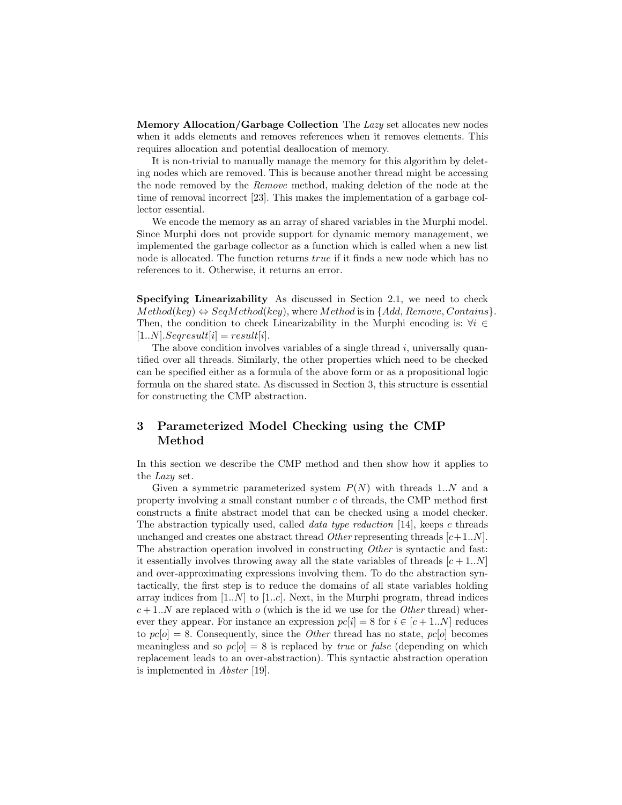Memory Allocation/Garbage Collection The Lazy set allocates new nodes when it adds elements and removes references when it removes elements. This requires allocation and potential deallocation of memory.

It is non-trivial to manually manage the memory for this algorithm by deleting nodes which are removed. This is because another thread might be accessing the node removed by the Remove method, making deletion of the node at the time of removal incorrect [23]. This makes the implementation of a garbage collector essential.

We encode the memory as an array of shared variables in the Murphi model. Since Murphi does not provide support for dynamic memory management, we implemented the garbage collector as a function which is called when a new list node is allocated. The function returns true if it finds a new node which has no references to it. Otherwise, it returns an error.

Specifying Linearizability As discussed in Section 2.1, we need to check  $Method(key) \Leftrightarrow SegMethod(key)$ , where Method is in {Add, Remove, Contains}. Then, the condition to check Linearizability in the Murphi encoding is:  $\forall i \in$  $[1..N].Segresult[i] = result[i].$ 

The above condition involves variables of a single thread i, universally quantified over all threads. Similarly, the other properties which need to be checked can be specified either as a formula of the above form or as a propositional logic formula on the shared state. As discussed in Section 3, this structure is essential for constructing the CMP abstraction.

# 3 Parameterized Model Checking using the CMP Method

In this section we describe the CMP method and then show how it applies to the Lazy set.

Given a symmetric parameterized system  $P(N)$  with threads 1..N and a property involving a small constant number c of threads, the CMP method first constructs a finite abstract model that can be checked using a model checker. The abstraction typically used, called *data type reduction* [14], keeps  $c$  threads unchanged and creates one abstract thread *Other* representing threads  $[c+1..N]$ . The abstraction operation involved in constructing Other is syntactic and fast: it essentially involves throwing away all the state variables of threads  $[c + 1..N]$ and over-approximating expressions involving them. To do the abstraction syntactically, the first step is to reduce the domains of all state variables holding array indices from  $[1..N]$  to  $[1..c]$ . Next, in the Murphi program, thread indices  $c+1..N$  are replaced with o (which is the id we use for the *Other* thread) wherever they appear. For instance an expression  $pc[i] = 8$  for  $i \in [c + 1..N]$  reduces to  $pc[o] = 8$ . Consequently, since the *Other* thread has no state,  $pc[o]$  becomes meaningless and so  $pc[o] = 8$  is replaced by *true* or *false* (depending on which replacement leads to an over-abstraction). This syntactic abstraction operation is implemented in Abster [19].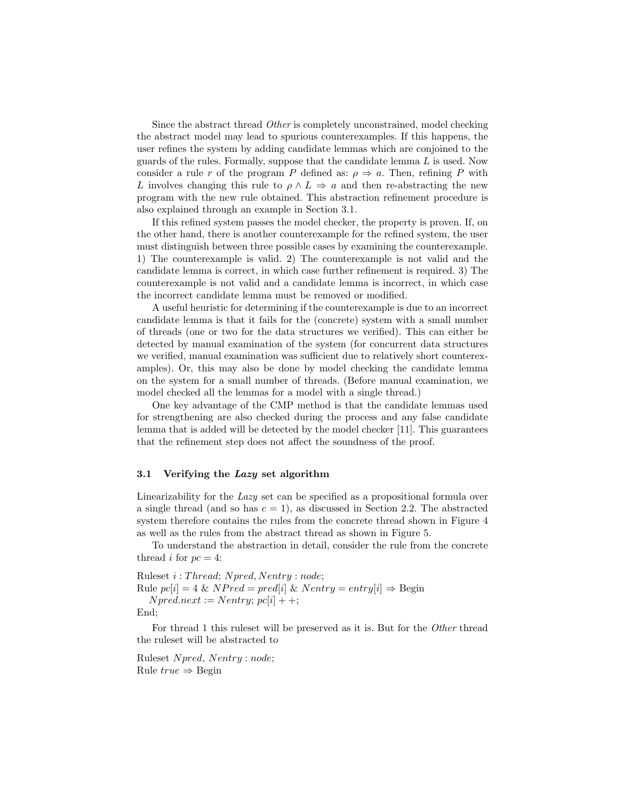Since the abstract thread Other is completely unconstrained, model checking the abstract model may lead to spurious counterexamples. If this happens, the user refines the system by adding candidate lemmas which are conjoined to the guards of the rules. Formally, suppose that the candidate lemma  $L$  is used. Now consider a rule r of the program P defined as:  $\rho \Rightarrow a$ . Then, refining P with L involves changing this rule to  $\rho \wedge L \Rightarrow a$  and then re-abstracting the new program with the new rule obtained. This abstraction refinement procedure is also explained through an example in Section 3.1.

If this refined system passes the model checker, the property is proven. If, on the other hand, there is another counterexample for the refined system, the user must distinguish between three possible cases by examining the counterexample. 1) The counterexample is valid. 2) The counterexample is not valid and the candidate lemma is correct, in which case further refinement is required. 3) The counterexample is not valid and a candidate lemma is incorrect, in which case the incorrect candidate lemma must be removed or modified.

A useful heuristic for determining if the counterexample is due to an incorrect candidate lemma is that it fails for the (concrete) system with a small number of threads (one or two for the data structures we verified). This can either be detected by manual examination of the system (for concurrent data structures we verified, manual examination was sufficient due to relatively short counterexamples). Or, this may also be done by model checking the candidate lemma on the system for a small number of threads. (Before manual examination, we model checked all the lemmas for a model with a single thread.)

One key advantage of the CMP method is that the candidate lemmas used for strengthening are also checked during the process and any false candidate lemma that is added will be detected by the model checker [11]. This guarantees that the refinement step does not affect the soundness of the proof.

## 3.1 Verifying the  $Lazy$  set algorithm

Linearizability for the Lazy set can be specified as a propositional formula over a single thread (and so has  $c = 1$ ), as discussed in Section 2.2. The abstracted system therefore contains the rules from the concrete thread shown in Figure 4 as well as the rules from the abstract thread as shown in Figure 5.

To understand the abstraction in detail, consider the rule from the concrete thread *i* for  $pc = 4$ :

Ruleset  $i: Thread; Npred, Nentry : node;$ Rule  $pc[i] = 4 \& NPred = pred[i] \& Nentry = entry[i] \Rightarrow Begin$ 

 $N pred.next := Nentry; pc[i] ++;$ 

End;

For thread 1 this ruleset will be preserved as it is. But for the Other thread the ruleset will be abstracted to

Ruleset Npred, Nentry : node; Rule  $true \Rightarrow$  Begin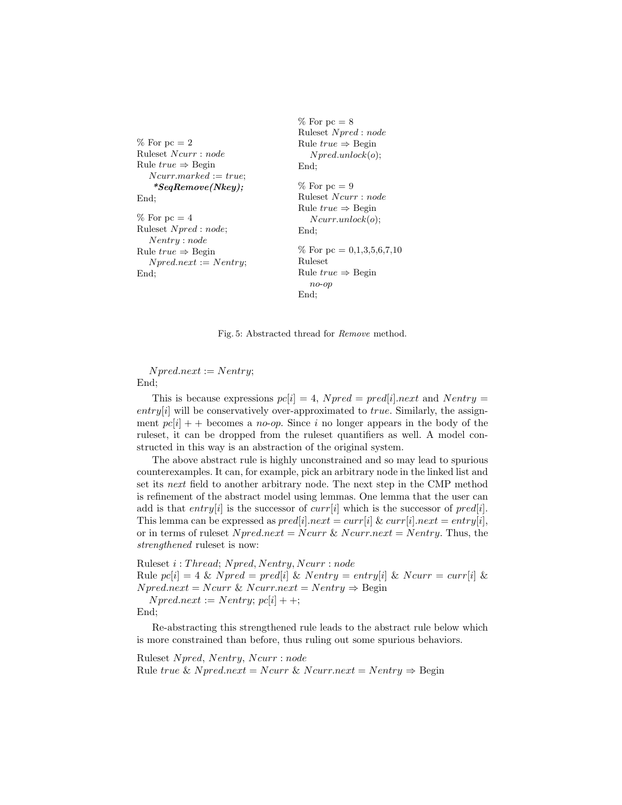|                               | $%$ For pc = 8                |
|-------------------------------|-------------------------------|
|                               |                               |
|                               | Ruleset Npred : node          |
| $%$ For pc = 2                | Rule $true \Rightarrow$ Begin |
| Ruleset Ncurr : node          | $Npred.$ unlock $(o)$ ;       |
| Rule $true \Rightarrow$ Begin | End:                          |
| $Ncurr-market := true;$       |                               |
| $*SeqRemove(Nkey);$           | $\%$ For pc = 9               |
| End:                          | Ruleset Ncurr : node          |
|                               | Rule $true \Rightarrow$ Begin |
| $\%$ For pc = 4               | Ncurr. unlock(o);             |
| Ruleset Npred : node;         | End:                          |
| Nentry : node                 |                               |
| Rule $true \Rightarrow$ Begin | $\%$ For pc = 0,1,3,5,6,7,10  |
| $Npred.next := Nentry;$       | Ruleset                       |
| End:                          | Rule $true \Rightarrow$ Begin |
|                               | $no$ - $op$                   |
|                               | End:                          |

Fig. 5: Abstracted thread for Remove method.

 $N pred.next := Nentry;$ End;

This is because expressions  $pc[i] = 4$ ,  $N pred = pred[i].next$  and  $Nentry$  $entry[i]$  will be conservatively over-approximated to *true*. Similarly, the assignment  $pc[i] + +$  becomes a no-op. Since i no longer appears in the body of the ruleset, it can be dropped from the ruleset quantifiers as well. A model constructed in this way is an abstraction of the original system.

The above abstract rule is highly unconstrained and so may lead to spurious counterexamples. It can, for example, pick an arbitrary node in the linked list and set its next field to another arbitrary node. The next step in the CMP method is refinement of the abstract model using lemmas. One lemma that the user can add is that entry<sup>[i]</sup> is the successor of curr<sup>[i]</sup> which is the successor of  $pred[i]$ . This lemma can be expressed as  $pred[i].next = curr[i] \& curr[i].next = entry[i],$ or in terms of ruleset  $N pred.next = N curr \& Ncurr.next = Nentry$ . Thus, the strengthened ruleset is now:

Ruleset  $i: Thread; Npred, Nentry, Ncurr : node$ Rule  $pc[i] = 4 \& Npred = pred[i] \& Nentry = entry[i] \& Ncurr = curr[i] \&$  $N pred.next = N curr \& N curr.next = N entry \Rightarrow Begin$  $N pred.next := Nentry; pc[i] ++;$ 

End;

Re-abstracting this strengthened rule leads to the abstract rule below which is more constrained than before, thus ruling out some spurious behaviors.

Ruleset N pred, Nentry, N curr : node Rule true & N pred.next = N curr & N curr.next = N entry  $\Rightarrow$  Begin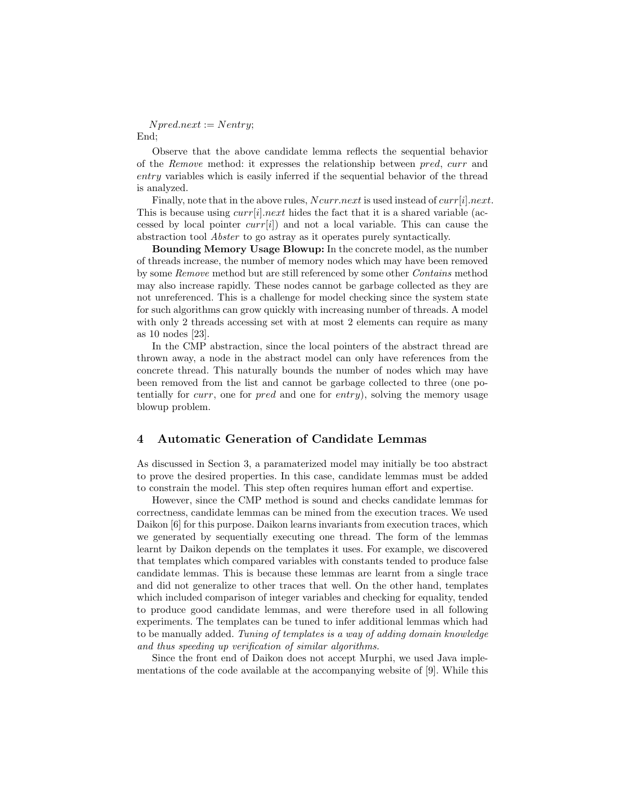$N pred.next := Nentry;$ End;

Observe that the above candidate lemma reflects the sequential behavior of the Remove method: it expresses the relationship between pred, curr and entry variables which is easily inferred if the sequential behavior of the thread is analyzed.

Finally, note that in the above rules, N curr.next is used instead of curr[i].next. This is because using  $curr[i].next$  hides the fact that it is a shared variable (accessed by local pointer  $curr[i]$  and not a local variable. This can cause the abstraction tool Abster to go astray as it operates purely syntactically.

Bounding Memory Usage Blowup: In the concrete model, as the number of threads increase, the number of memory nodes which may have been removed by some Remove method but are still referenced by some other Contains method may also increase rapidly. These nodes cannot be garbage collected as they are not unreferenced. This is a challenge for model checking since the system state for such algorithms can grow quickly with increasing number of threads. A model with only 2 threads accessing set with at most 2 elements can require as many as 10 nodes [23].

In the CMP abstraction, since the local pointers of the abstract thread are thrown away, a node in the abstract model can only have references from the concrete thread. This naturally bounds the number of nodes which may have been removed from the list and cannot be garbage collected to three (one potentially for *curr*, one for *pred* and one for *entry*), solving the memory usage blowup problem.

# 4 Automatic Generation of Candidate Lemmas

As discussed in Section 3, a paramaterized model may initially be too abstract to prove the desired properties. In this case, candidate lemmas must be added to constrain the model. This step often requires human effort and expertise.

However, since the CMP method is sound and checks candidate lemmas for correctness, candidate lemmas can be mined from the execution traces. We used Daikon [6] for this purpose. Daikon learns invariants from execution traces, which we generated by sequentially executing one thread. The form of the lemmas learnt by Daikon depends on the templates it uses. For example, we discovered that templates which compared variables with constants tended to produce false candidate lemmas. This is because these lemmas are learnt from a single trace and did not generalize to other traces that well. On the other hand, templates which included comparison of integer variables and checking for equality, tended to produce good candidate lemmas, and were therefore used in all following experiments. The templates can be tuned to infer additional lemmas which had to be manually added. Tuning of templates is a way of adding domain knowledge and thus speeding up verification of similar algorithms.

Since the front end of Daikon does not accept Murphi, we used Java implementations of the code available at the accompanying website of [9]. While this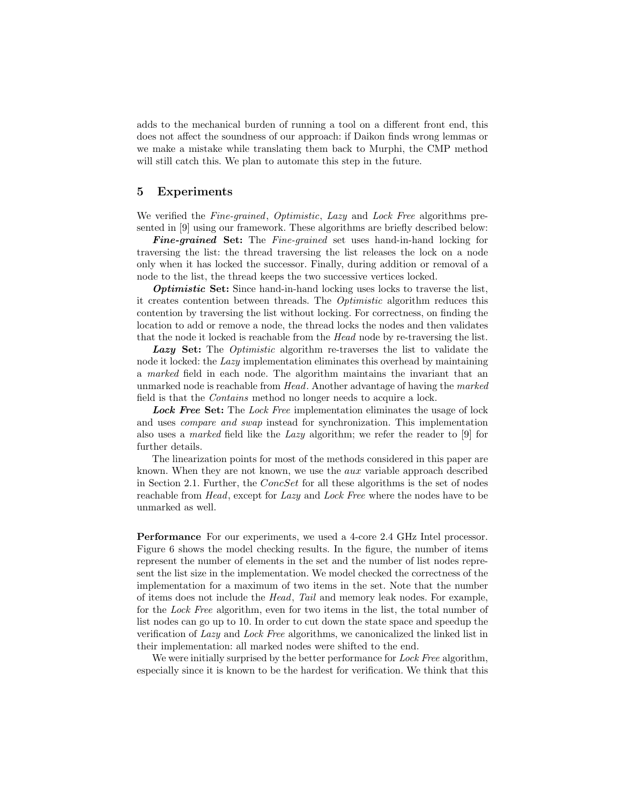adds to the mechanical burden of running a tool on a different front end, this does not affect the soundness of our approach: if Daikon finds wrong lemmas or we make a mistake while translating them back to Murphi, the CMP method will still catch this. We plan to automate this step in the future.

# 5 Experiments

We verified the Fine-grained, Optimistic, Lazy and Lock Free algorithms presented in [9] using our framework. These algorithms are briefly described below:

Fine-grained Set: The Fine-grained set uses hand-in-hand locking for traversing the list: the thread traversing the list releases the lock on a node only when it has locked the successor. Finally, during addition or removal of a node to the list, the thread keeps the two successive vertices locked.

**Optimistic Set:** Since hand-in-hand locking uses locks to traverse the list, it creates contention between threads. The Optimistic algorithm reduces this contention by traversing the list without locking. For correctness, on finding the location to add or remove a node, the thread locks the nodes and then validates that the node it locked is reachable from the Head node by re-traversing the list.

**Lazy Set:** The *Optimistic* algorithm re-traverses the list to validate the node it locked: the *Lazy* implementation eliminates this overhead by maintaining a marked field in each node. The algorithm maintains the invariant that an unmarked node is reachable from Head. Another advantage of having the marked field is that the Contains method no longer needs to acquire a lock.

Lock Free Set: The Lock Free implementation eliminates the usage of lock and uses compare and swap instead for synchronization. This implementation also uses a marked field like the Lazy algorithm; we refer the reader to [9] for further details.

The linearization points for most of the methods considered in this paper are known. When they are not known, we use the aux variable approach described in Section 2.1. Further, the ConcSet for all these algorithms is the set of nodes reachable from Head, except for Lazy and Lock Free where the nodes have to be unmarked as well.

Performance For our experiments, we used a 4-core 2.4 GHz Intel processor. Figure 6 shows the model checking results. In the figure, the number of items represent the number of elements in the set and the number of list nodes represent the list size in the implementation. We model checked the correctness of the implementation for a maximum of two items in the set. Note that the number of items does not include the Head, Tail and memory leak nodes. For example, for the Lock Free algorithm, even for two items in the list, the total number of list nodes can go up to 10. In order to cut down the state space and speedup the verification of Lazy and Lock Free algorithms, we canonicalized the linked list in their implementation: all marked nodes were shifted to the end.

We were initially surprised by the better performance for *Lock Free* algorithm, especially since it is known to be the hardest for verification. We think that this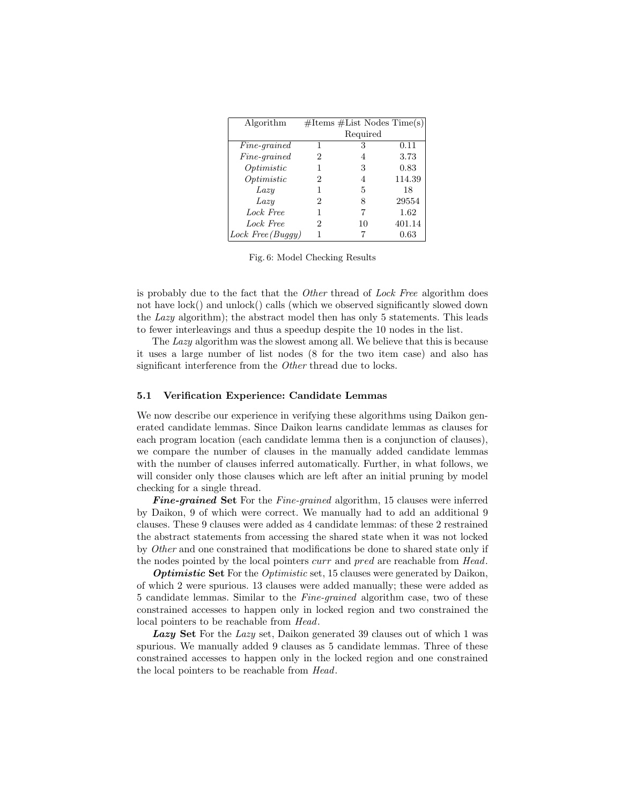| Algorithm           |   | $\# \text{Items} \# \text{List Nodes Time(s)}$ |        |
|---------------------|---|------------------------------------------------|--------|
|                     |   | Required                                       |        |
| <i>Fine-grained</i> |   | 3                                              | 0.11   |
| Fine-grained        | 2 |                                                | 3.73   |
| Optimistic          | 1 | 3                                              | 0.83   |
| Optimistic          | 2 | 4                                              | 114.39 |
| Lazy                | 1 | 5                                              | 18     |
| Lazy                | 2 | 8                                              | 29554  |
| Lock Free           |   |                                                | 1.62   |
| Lock Free           | 2 | 10                                             | 401.14 |
| Lock Free (Buggy)   |   |                                                | 0.63   |

Fig. 6: Model Checking Results

is probably due to the fact that the Other thread of Lock Free algorithm does not have lock() and unlock() calls (which we observed significantly slowed down the Lazy algorithm); the abstract model then has only 5 statements. This leads to fewer interleavings and thus a speedup despite the 10 nodes in the list.

The Lazy algorithm was the slowest among all. We believe that this is because it uses a large number of list nodes (8 for the two item case) and also has significant interference from the *Other* thread due to locks.

#### 5.1 Verification Experience: Candidate Lemmas

We now describe our experience in verifying these algorithms using Daikon generated candidate lemmas. Since Daikon learns candidate lemmas as clauses for each program location (each candidate lemma then is a conjunction of clauses), we compare the number of clauses in the manually added candidate lemmas with the number of clauses inferred automatically. Further, in what follows, we will consider only those clauses which are left after an initial pruning by model checking for a single thread.

**Fine-grained Set** For the Fine-grained algorithm, 15 clauses were inferred by Daikon, 9 of which were correct. We manually had to add an additional 9 clauses. These 9 clauses were added as 4 candidate lemmas: of these 2 restrained the abstract statements from accessing the shared state when it was not locked by Other and one constrained that modifications be done to shared state only if the nodes pointed by the local pointers curr and pred are reachable from Head.

**Optimistic Set** For the *Optimistic* set, 15 clauses were generated by Daikon, of which 2 were spurious. 13 clauses were added manually; these were added as 5 candidate lemmas. Similar to the Fine-grained algorithm case, two of these constrained accesses to happen only in locked region and two constrained the local pointers to be reachable from Head.

**Lazy Set** For the Lazy set, Daikon generated 39 clauses out of which 1 was spurious. We manually added 9 clauses as 5 candidate lemmas. Three of these constrained accesses to happen only in the locked region and one constrained the local pointers to be reachable from Head.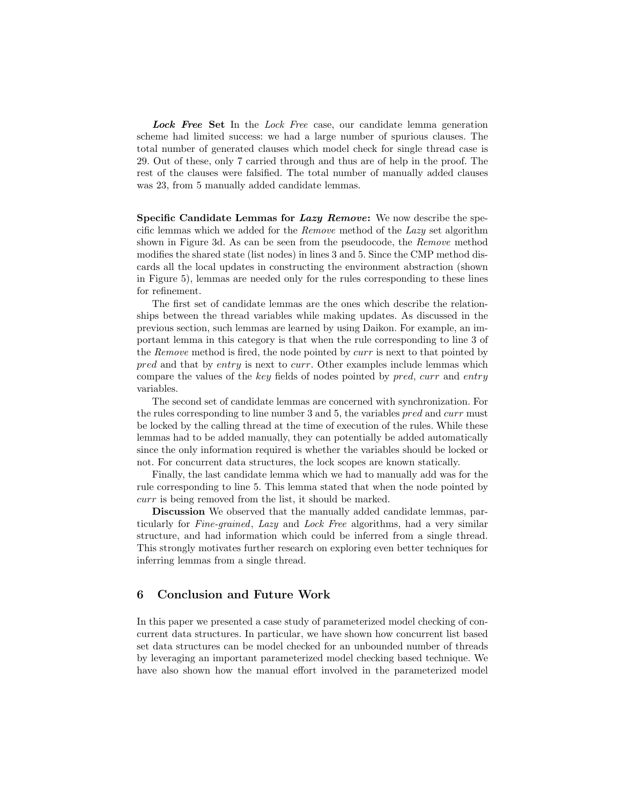Lock Free Set In the Lock Free case, our candidate lemma generation scheme had limited success: we had a large number of spurious clauses. The total number of generated clauses which model check for single thread case is 29. Out of these, only 7 carried through and thus are of help in the proof. The rest of the clauses were falsified. The total number of manually added clauses was 23, from 5 manually added candidate lemmas.

Specific Candidate Lemmas for Lazy Remove: We now describe the specific lemmas which we added for the Remove method of the Lazy set algorithm shown in Figure 3d. As can be seen from the pseudocode, the Remove method modifies the shared state (list nodes) in lines 3 and 5. Since the CMP method discards all the local updates in constructing the environment abstraction (shown in Figure 5), lemmas are needed only for the rules corresponding to these lines for refinement.

The first set of candidate lemmas are the ones which describe the relationships between the thread variables while making updates. As discussed in the previous section, such lemmas are learned by using Daikon. For example, an important lemma in this category is that when the rule corresponding to line 3 of the Remove method is fired, the node pointed by *curr* is next to that pointed by pred and that by entry is next to curr. Other examples include lemmas which compare the values of the key fields of nodes pointed by pred, curr and entry variables.

The second set of candidate lemmas are concerned with synchronization. For the rules corresponding to line number 3 and 5, the variables pred and curr must be locked by the calling thread at the time of execution of the rules. While these lemmas had to be added manually, they can potentially be added automatically since the only information required is whether the variables should be locked or not. For concurrent data structures, the lock scopes are known statically.

Finally, the last candidate lemma which we had to manually add was for the rule corresponding to line 5. This lemma stated that when the node pointed by curr is being removed from the list, it should be marked.

Discussion We observed that the manually added candidate lemmas, particularly for Fine-grained, Lazy and Lock Free algorithms, had a very similar structure, and had information which could be inferred from a single thread. This strongly motivates further research on exploring even better techniques for inferring lemmas from a single thread.

# 6 Conclusion and Future Work

In this paper we presented a case study of parameterized model checking of concurrent data structures. In particular, we have shown how concurrent list based set data structures can be model checked for an unbounded number of threads by leveraging an important parameterized model checking based technique. We have also shown how the manual effort involved in the parameterized model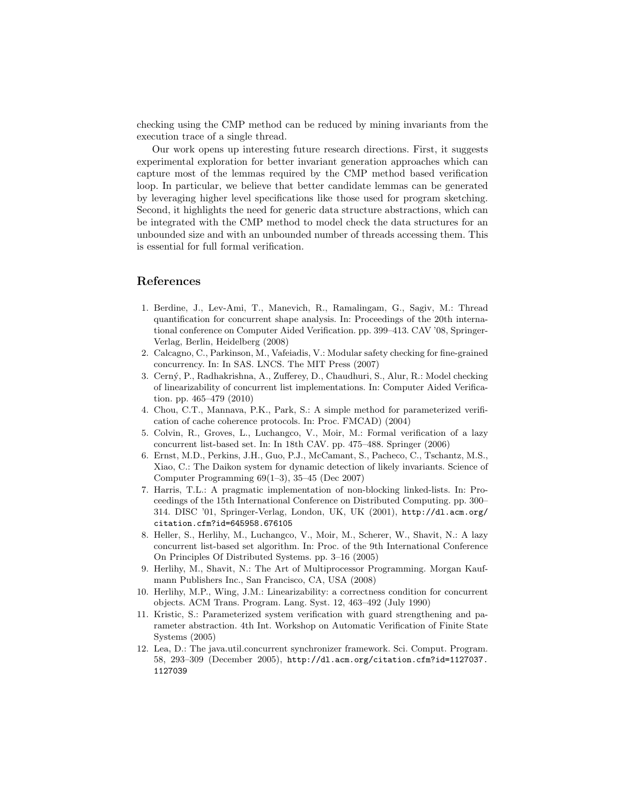checking using the CMP method can be reduced by mining invariants from the execution trace of a single thread.

Our work opens up interesting future research directions. First, it suggests experimental exploration for better invariant generation approaches which can capture most of the lemmas required by the CMP method based verification loop. In particular, we believe that better candidate lemmas can be generated by leveraging higher level specifications like those used for program sketching. Second, it highlights the need for generic data structure abstractions, which can be integrated with the CMP method to model check the data structures for an unbounded size and with an unbounded number of threads accessing them. This is essential for full formal verification.

# References

- 1. Berdine, J., Lev-Ami, T., Manevich, R., Ramalingam, G., Sagiv, M.: Thread quantification for concurrent shape analysis. In: Proceedings of the 20th international conference on Computer Aided Verification. pp. 399–413. CAV '08, Springer-Verlag, Berlin, Heidelberg (2008)
- 2. Calcagno, C., Parkinson, M., Vafeiadis, V.: Modular safety checking for fine-grained concurrency. In: In SAS. LNCS. The MIT Press (2007)
- 3. Cern´y, P., Radhakrishna, A., Zufferey, D., Chaudhuri, S., Alur, R.: Model checking of linearizability of concurrent list implementations. In: Computer Aided Verification. pp. 465–479 (2010)
- 4. Chou, C.T., Mannava, P.K., Park, S.: A simple method for parameterized verification of cache coherence protocols. In: Proc. FMCAD) (2004)
- 5. Colvin, R., Groves, L., Luchangco, V., Moir, M.: Formal verification of a lazy concurrent list-based set. In: In 18th CAV. pp. 475–488. Springer (2006)
- 6. Ernst, M.D., Perkins, J.H., Guo, P.J., McCamant, S., Pacheco, C., Tschantz, M.S., Xiao, C.: The Daikon system for dynamic detection of likely invariants. Science of Computer Programming 69(1–3), 35–45 (Dec 2007)
- 7. Harris, T.L.: A pragmatic implementation of non-blocking linked-lists. In: Proceedings of the 15th International Conference on Distributed Computing. pp. 300– 314. DISC '01, Springer-Verlag, London, UK, UK (2001), http://dl.acm.org/ citation.cfm?id=645958.676105
- 8. Heller, S., Herlihy, M., Luchangco, V., Moir, M., Scherer, W., Shavit, N.: A lazy concurrent list-based set algorithm. In: Proc. of the 9th International Conference On Principles Of Distributed Systems. pp. 3–16 (2005)
- 9. Herlihy, M., Shavit, N.: The Art of Multiprocessor Programming. Morgan Kaufmann Publishers Inc., San Francisco, CA, USA (2008)
- 10. Herlihy, M.P., Wing, J.M.: Linearizability: a correctness condition for concurrent objects. ACM Trans. Program. Lang. Syst. 12, 463–492 (July 1990)
- 11. Kristic, S.: Parameterized system verification with guard strengthening and parameter abstraction. 4th Int. Workshop on Automatic Verification of Finite State Systems (2005)
- 12. Lea, D.: The java.util.concurrent synchronizer framework. Sci. Comput. Program. 58, 293–309 (December 2005), http://dl.acm.org/citation.cfm?id=1127037. 1127039